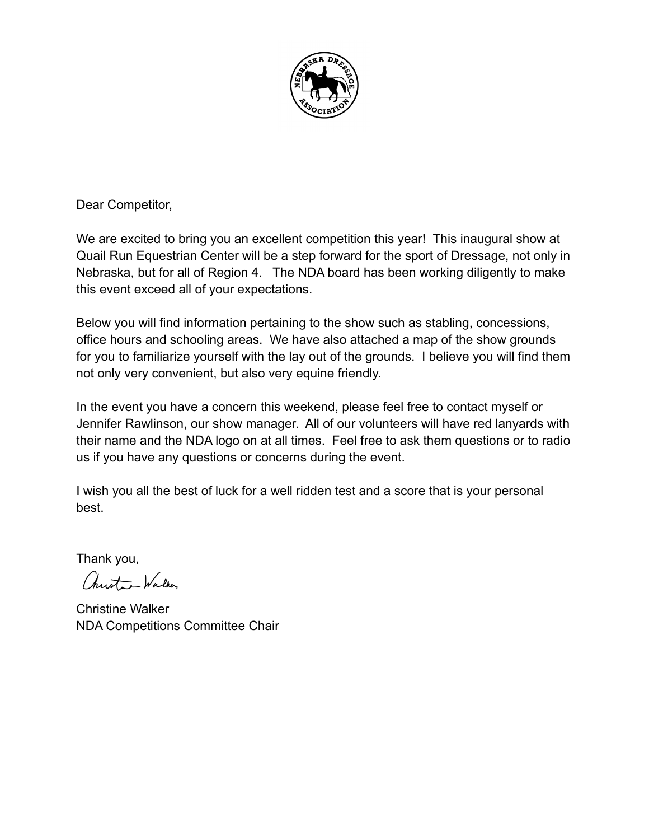

Dear Competitor,

We are excited to bring you an excellent competition this year! This inaugural show at Quail Run Equestrian Center will be a step forward for the sport of Dressage, not only in Nebraska, but for all of Region 4. The NDA board has been working diligently to make this event exceed all of your expectations.

Below you will find information pertaining to the show such as stabling, concessions, office hours and schooling areas. We have also attached a map of the show grounds for you to familiarize yourself with the lay out of the grounds. I believe you will find them not only very convenient, but also very equine friendly.

In the event you have a concern this weekend, please feel free to contact myself or Jennifer Rawlinson, our show manager. All of our volunteers will have red lanyards with their name and the NDA logo on at all times. Feel free to ask them questions or to radio us if you have any questions or concerns during the event.

I wish you all the best of luck for a well ridden test and a score that is your personal best.

Thank you,

Christ - Walker

Christine Walker NDA Competitions Committee Chair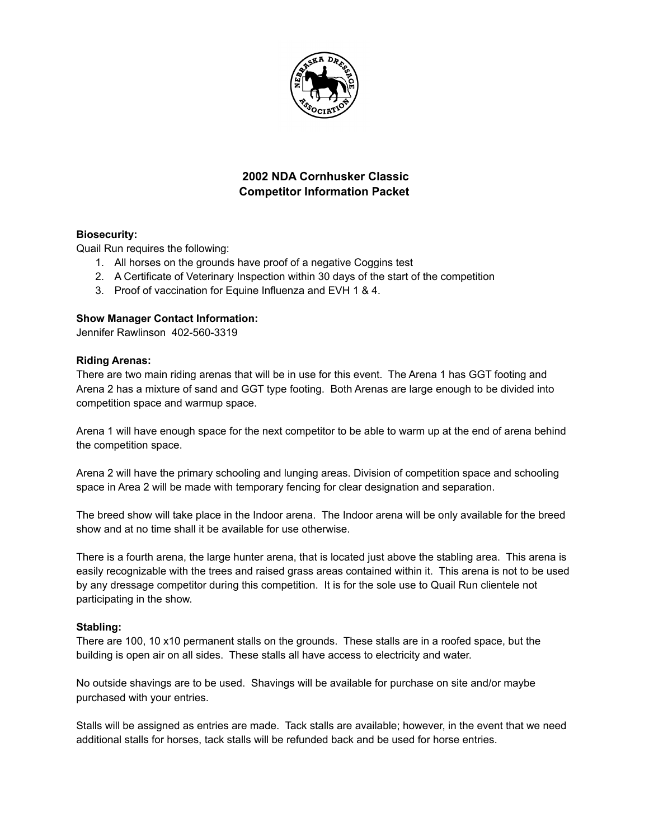

# **2002 NDA Cornhusker Classic Competitor Information Packet**

## **Biosecurity:**

Quail Run requires the following:

- 1. All horses on the grounds have proof of a negative Coggins test
- 2. A Certificate of Veterinary Inspection within 30 days of the start of the competition
- 3. Proof of vaccination for Equine Influenza and EVH 1 & 4.

### **Show Manager Contact Information:**

Jennifer Rawlinson 402-560-3319

#### **Riding Arenas:**

There are two main riding arenas that will be in use for this event. The Arena 1 has GGT footing and Arena 2 has a mixture of sand and GGT type footing. Both Arenas are large enough to be divided into competition space and warmup space.

Arena 1 will have enough space for the next competitor to be able to warm up at the end of arena behind the competition space.

Arena 2 will have the primary schooling and lunging areas. Division of competition space and schooling space in Area 2 will be made with temporary fencing for clear designation and separation.

The breed show will take place in the Indoor arena. The Indoor arena will be only available for the breed show and at no time shall it be available for use otherwise.

There is a fourth arena, the large hunter arena, that is located just above the stabling area. This arena is easily recognizable with the trees and raised grass areas contained within it. This arena is not to be used by any dressage competitor during this competition. It is for the sole use to Quail Run clientele not participating in the show.

### **Stabling:**

There are 100, 10 x10 permanent stalls on the grounds. These stalls are in a roofed space, but the building is open air on all sides. These stalls all have access to electricity and water.

No outside shavings are to be used. Shavings will be available for purchase on site and/or maybe purchased with your entries.

Stalls will be assigned as entries are made. Tack stalls are available; however, in the event that we need additional stalls for horses, tack stalls will be refunded back and be used for horse entries.